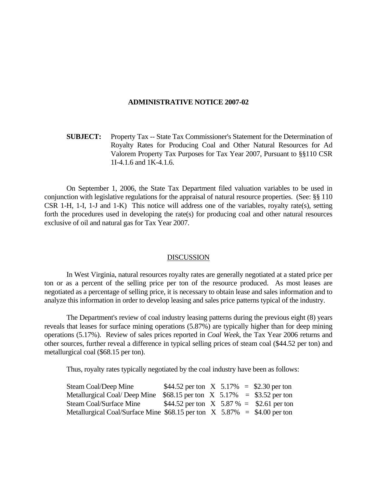## **ADMINISTRATIVE NOTICE 2007-02**

 **SUBJECT:** Property Tax -- State Tax Commissioner's Statement for the Determination of Royalty Rates for Producing Coal and Other Natural Resources for Ad Valorem Property Tax Purposes for Tax Year 2007, Pursuant to §§110 CSR 1I-4.1.6 and 1K-4.1.6.

 On September 1, 2006, the State Tax Department filed valuation variables to be used in conjunction with legislative regulations for the appraisal of natural resource properties. (See: §§ 110 CSR 1-H, 1-I, 1-J and 1-K) This notice will address one of the variables, royalty rate(s), setting forth the procedures used in developing the rate(s) for producing coal and other natural resources exclusive of oil and natural gas for Tax Year 2007.

## **DISCUSSION**

 In West Virginia, natural resources royalty rates are generally negotiated at a stated price per ton or as a percent of the selling price per ton of the resource produced. As most leases are negotiated as a percentage of selling price, it is necessary to obtain lease and sales information and to analyze this information in order to develop leasing and sales price patterns typical of the industry.

 The Department's review of coal industry leasing patterns during the previous eight (8) years reveals that leases for surface mining operations (5.87%) are typically higher than for deep mining operations (5.17%). Review of sales prices reported in *Coal Week*, the Tax Year 2006 returns and other sources, further reveal a difference in typical selling prices of steam coal (\$44.52 per ton) and metallurgical coal (\$68.15 per ton).

Thus, royalty rates typically negotiated by the coal industry have been as follows:

| Steam Coal/Deep Mine                                                        | \$44.52 per ton $X$ 5.17% = \$2.30 per ton  |  |  |
|-----------------------------------------------------------------------------|---------------------------------------------|--|--|
| Metallurgical Coal/Deep Mine $$68.15$ per ton X 5.17% = \$3.52 per ton      |                                             |  |  |
| Steam Coal/Surface Mine                                                     | \$44.52 per ton $X$ 5.87 % = \$2.61 per ton |  |  |
| Metallurgical Coal/Surface Mine $$68.15$ per ton X $5.87\% = $4.00$ per ton |                                             |  |  |